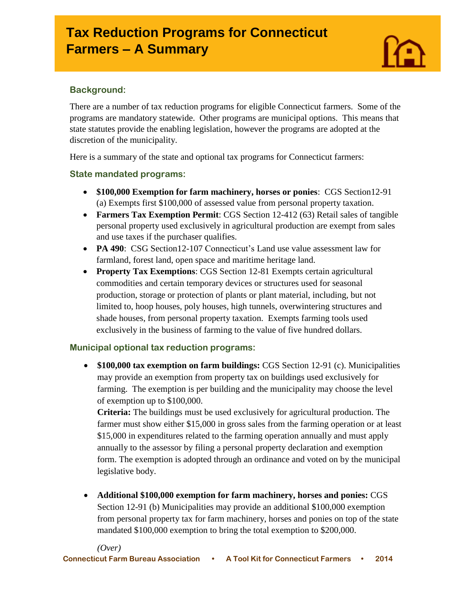# **Tax Reduction Programs for Connecticut Farmers – A Summary**

### **Background:**

I

There are a number of tax reduction programs for eligible Connecticut farmers. Some of the programs are mandatory statewide. Other programs are municipal options. This means that state statutes provide the enabling legislation, however the programs are adopted at the discretion of the municipality.

Here is a summary of the state and optional tax programs for Connecticut farmers:

## **State mandated programs:**

- **\$100,000 Exemption for farm machinery, horses or ponies**: CGS Section12-91 (a) Exempts first \$100,000 of assessed value from personal property taxation.
- **Farmers Tax Exemption Permit**: CGS Section 12-412 (63) Retail sales of tangible personal property used exclusively in agricultural production are exempt from sales and use taxes if the purchaser qualifies.
- **PA 490**: CSG Section12-107 Connecticut's Land use value assessment law for farmland, forest land, open space and maritime heritage land.
- **Property Tax Exemptions**: CGS Section 12-81 Exempts certain agricultural commodities and certain temporary devices or structures used for seasonal production, storage or protection of plants or plant material, including, but not limited to, hoop houses, poly houses, high tunnels, overwintering structures and shade houses, from personal property taxation. Exempts farming tools used exclusively in the business of farming to the value of five hundred dollars.

#### **Municipal optional tax reduction programs:**

 **\$100,000 tax exemption on farm buildings:** CGS Section 12-91 (c). Municipalities may provide an exemption from property tax on buildings used exclusively for farming. The exemption is per building and the municipality may choose the level of exemption up to \$100,000.

**Criteria:** The buildings must be used exclusively for agricultural production. The farmer must show either \$15,000 in gross sales from the farming operation or at least \$15,000 in expenditures related to the farming operation annually and must apply annually to the assessor by filing a personal property declaration and exemption form. The exemption is adopted through an ordinance and voted on by the municipal legislative body.

 **Additional \$100,000 exemption for farm machinery, horses and ponies:** CGS Section 12-91 (b) Municipalities may provide an additional \$100,000 exemption from personal property tax for farm machinery, horses and ponies on top of the state mandated \$100,000 exemption to bring the total exemption to \$200,000.